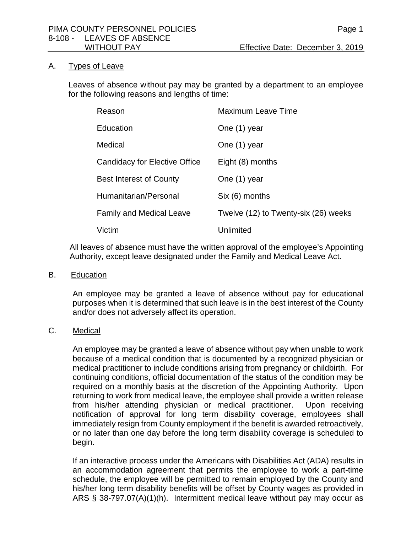#### A. Types of Leave

Leaves of absence without pay may be granted by a department to an employee for the following reasons and lengths of time:

| Reason                          | <b>Maximum Leave Time</b>            |
|---------------------------------|--------------------------------------|
| Education                       | One (1) year                         |
| Medical                         | One (1) year                         |
| Candidacy for Elective Office   | Eight (8) months                     |
| <b>Best Interest of County</b>  | One (1) year                         |
| Humanitarian/Personal           | Six (6) months                       |
| <b>Family and Medical Leave</b> | Twelve (12) to Twenty-six (26) weeks |
| Victim                          | Unlimited                            |

All leaves of absence must have the written approval of the employee's Appointing Authority, except leave designated under the Family and Medical Leave Act.

#### B. Education

An employee may be granted a leave of absence without pay for educational purposes when it is determined that such leave is in the best interest of the County and/or does not adversely affect its operation.

# C. Medical

An employee may be granted a leave of absence without pay when unable to work because of a medical condition that is documented by a recognized physician or medical practitioner to include conditions arising from pregnancy or childbirth. For continuing conditions, official documentation of the status of the condition may be required on a monthly basis at the discretion of the Appointing Authority. Upon returning to work from medical leave, the employee shall provide a written release from his/her attending physician or medical practitioner. Upon receiving notification of approval for long term disability coverage, employees shall immediately resign from County employment if the benefit is awarded retroactively, or no later than one day before the long term disability coverage is scheduled to begin.

If an interactive process under the Americans with Disabilities Act (ADA) results in an accommodation agreement that permits the employee to work a part-time schedule, the employee will be permitted to remain employed by the County and his/her long term disability benefits will be offset by County wages as provided in ARS § 38-797.07(A)(1)(h). Intermittent medical leave without pay may occur as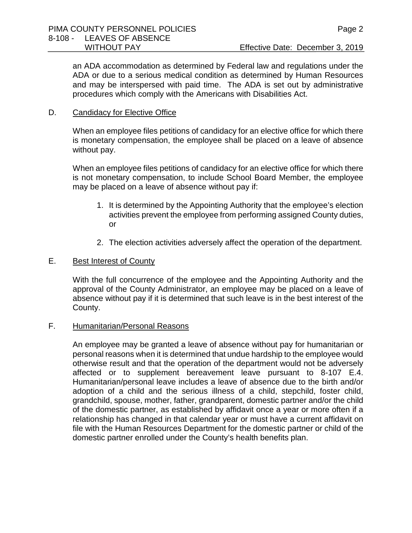an ADA accommodation as determined by Federal law and regulations under the ADA or due to a serious medical condition as determined by Human Resources and may be interspersed with paid time. The ADA is set out by administrative procedures which comply with the Americans with Disabilities Act.

### D. Candidacy for Elective Office

When an employee files petitions of candidacy for an elective office for which there is monetary compensation, the employee shall be placed on a leave of absence without pay.

When an employee files petitions of candidacy for an elective office for which there is not monetary compensation, to include School Board Member, the employee may be placed on a leave of absence without pay if:

- 1. It is determined by the Appointing Authority that the employee's election activities prevent the employee from performing assigned County duties, or
- 2. The election activities adversely affect the operation of the department.

### E. Best Interest of County

With the full concurrence of the employee and the Appointing Authority and the approval of the County Administrator, an employee may be placed on a leave of absence without pay if it is determined that such leave is in the best interest of the County.

#### F. Humanitarian/Personal Reasons

An employee may be granted a leave of absence without pay for humanitarian or personal reasons when it is determined that undue hardship to the employee would otherwise result and that the operation of the department would not be adversely affected or to supplement bereavement leave pursuant to 8-107 E.4. Humanitarian/personal leave includes a leave of absence due to the birth and/or adoption of a child and the serious illness of a child, stepchild, foster child, grandchild, spouse, mother, father, grandparent, domestic partner and/or the child of the domestic partner, as established by affidavit once a year or more often if a relationship has changed in that calendar year or must have a current affidavit on file with the Human Resources Department for the domestic partner or child of the domestic partner enrolled under the County's health benefits plan.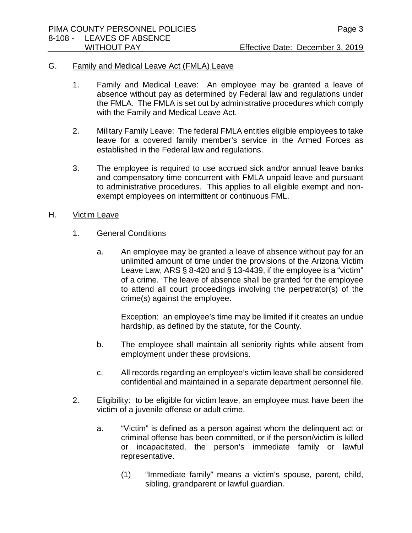WITHOUT PAY **Effective Date: December 3, 2019** 

### G. Family and Medical Leave Act (FMLA) Leave

- 1. Family and Medical Leave: An employee may be granted a leave of absence without pay as determined by Federal law and regulations under the FMLA. The FMLA is set out by administrative procedures which comply with the Family and Medical Leave Act.
- 2. Military Family Leave: The federal FMLA entitles eligible employees to take leave for a covered family member's service in the Armed Forces as established in the Federal law and regulations.
- 3. The employee is required to use accrued sick and/or annual leave banks and compensatory time concurrent with FMLA unpaid leave and pursuant to administrative procedures. This applies to all eligible exempt and nonexempt employees on intermittent or continuous FML.
- H. Victim Leave
	- 1. General Conditions
		- a. An employee may be granted a leave of absence without pay for an unlimited amount of time under the provisions of the Arizona Victim Leave Law, ARS § 8-420 and § 13-4439, if the employee is a "victim" of a crime. The leave of absence shall be granted for the employee to attend all court proceedings involving the perpetrator(s) of the crime(s) against the employee.

Exception: an employee's time may be limited if it creates an undue hardship, as defined by the statute, for the County.

- b. The employee shall maintain all seniority rights while absent from employment under these provisions.
- c. All records regarding an employee's victim leave shall be considered confidential and maintained in a separate department personnel file.
- 2. Eligibility: to be eligible for victim leave, an employee must have been the victim of a juvenile offense or adult crime.
	- a. "Victim" is defined as a person against whom the delinquent act or criminal offense has been committed, or if the person/victim is killed or incapacitated, the person's immediate family or lawful representative.
		- (1) "Immediate family" means a victim's spouse, parent, child, sibling, grandparent or lawful guardian.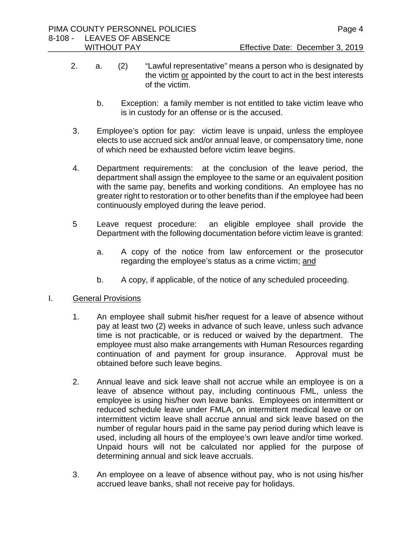Effective Date: December 3, 2019

- 2. a. (2) "Lawful representative" means a person who is designated by the victim or appointed by the court to act in the best interests of the victim.
	- b. Exception: a family member is not entitled to take victim leave who is in custody for an offense or is the accused.
- 3. Employee's option for pay: victim leave is unpaid, unless the employee elects to use accrued sick and/or annual leave, or compensatory time, none of which need be exhausted before victim leave begins.
- 4. Department requirements: at the conclusion of the leave period, the department shall assign the employee to the same or an equivalent position with the same pay, benefits and working conditions. An employee has no greater right to restoration or to other benefits than if the employee had been continuously employed during the leave period.
- 5 Leave request procedure: an eligible employee shall provide the Department with the following documentation before victim leave is granted:
	- a. A copy of the notice from law enforcement or the prosecutor regarding the employee's status as a crime victim; and
	- b. A copy, if applicable, of the notice of any scheduled proceeding.

## I. General Provisions

- 1. An employee shall submit his/her request for a leave of absence without pay at least two (2) weeks in advance of such leave, unless such advance time is not practicable, or is reduced or waived by the department. The employee must also make arrangements with Human Resources regarding continuation of and payment for group insurance. Approval must be obtained before such leave begins.
- 2. Annual leave and sick leave shall not accrue while an employee is on a leave of absence without pay, including continuous FML, unless the employee is using his/her own leave banks. Employees on intermittent or reduced schedule leave under FMLA, on intermittent medical leave or on intermittent victim leave shall accrue annual and sick leave based on the number of regular hours paid in the same pay period during which leave is used, including all hours of the employee's own leave and/or time worked. Unpaid hours will not be calculated nor applied for the purpose of determining annual and sick leave accruals.
- 3. An employee on a leave of absence without pay, who is not using his/her accrued leave banks, shall not receive pay for holidays.